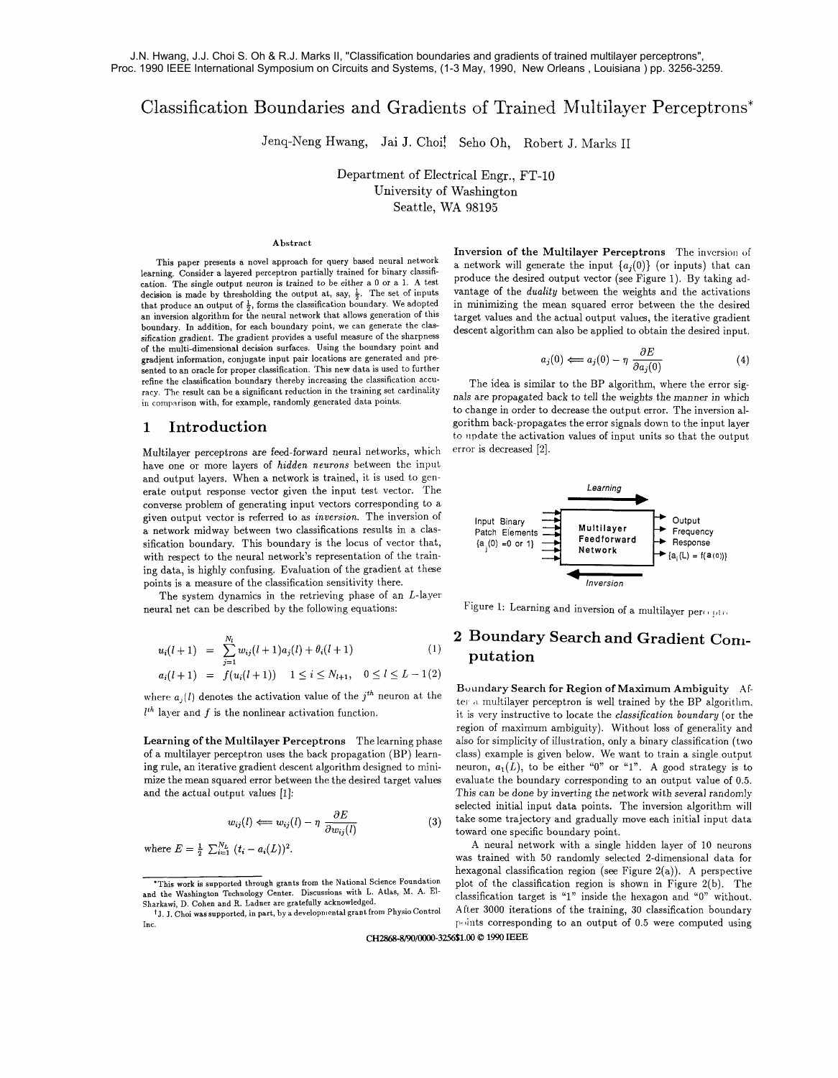# Classification Boundaries and Gradients of Trained Multilayer Perceptrons\*

Jenq-Neng Hwang, Jai J. Choit Seho Oh, Robert J. Marks I1

Department of Electrical Engr., FT-10 University of Washington Seattle, WA 98195

#### Abstract

This paper presents a novel approach for query based neural network learning. Consider a layered perceptron partially trained for binary classification. The single output neuron is trained to be either a **0** or a 1. A test decision is made by thresholding the output at, say,  $\frac{1}{2}$ . The set of inputs that produce an output of  $\frac{1}{2}$ , forms the classification boundary. We adopted an inversion algorithm for the neural network that allows generation of this boundary. In addition, for each boundary point, we can generate the classification gradient. The gradient provides a useful measure of the sharpness of the multi-dimensional decision surfaces. Using the boundary point and gradient information, conjugate input pair locations are generated and presented to an oracle for proper classification. This new data is used to further refine the classification boundary thereby increasing the classification accuracy. Thc result can be a significant reduction in the training set cardinality in comparison with, for example, randomly generated data points.

## **1 Introduction**

Multilayer perceptrons are feed-forward neural networks, which have one or more layers of *hidden neurons* between the input and output layers. When a network is trained, it is used to generate output response vector given the input test vector. The converse problem of generating input vectors corresponding to a given output vector is referred to as inversion. The inversion of a network midway between two classifications results in a classification boundary. This boundary is the locus of vector that, with respect to the neural network's representation of the training data, is highly confusing. Evaluation of the gradient at these points is a measure of the classification sensitivity there.

The system dynamics in the retrieving phase of an  $L$ -layer neural net can be described by the following equations:

$$
u_i(l+1) = \sum_{j=1}^{N_l} w_{ij}(l+1)a_j(l) + \theta_i(l+1)
$$
 (1)

$$
a_i(l+1) = f(u_i(l+1)) \quad 1 \le i \le N_{l+1}, \quad 0 \le l \le L-1(2)
$$

where  $a_j(l)$  denotes the activation value of the  $j^{th}$  neuron at the  $l^{th}$  layer and  $f$  is the nonlinear activation function.

$$
w_{ij}(l) \Longleftarrow w_{ij}(l) - \eta \frac{\partial E}{\partial w_{ij}(l)} \tag{3}
$$

Inversion of the Multilayer Perceptrons The inversion of a network will generate the input  ${a_i(0)}$  (or inputs) that can produce the desired output vector (see Figure 1). By taking adproduce the desired output vector (see Figure 1). By taking advantage of the *duality* between the weights and the activations in minimizing the mean squared error between the the desired target values and the actual outp in minimizing the mean squared error between the the desired target values and the actual output values, the iterative gradient descent algorithm can also be applied to obtain the desired input.

$$
a_j(0) \Longleftarrow a_j(0) - \eta \frac{\partial E}{\partial a_j(0)} \tag{4}
$$

The idea is similar to the BP algorithm, where the error signals are propagated back to tell the weights the manner in which to change in order to decrease the output error. The inversion algorithm back-propagates the error signals down to the input layer to update the activation values of input units so that the output error is decreased [2].



Figure 1: Learning and inversion of a multilayer peroquation

## **2 Boundary Search and Gradient Conr-**   $\mathbf{u}^{(1)}$  **putation**

Boundary Search for Region of Maximum Ambiguity After a multilaver perceptron is well trained by the BP algorithm. it is very instructive to locate the *classification boundary* (or the region of maximum ambiguity). Without loss of generality and Learning of the Multilayer Perceptrons The learning phase also for simplicity of illustration, only a binary classification (two of a multilayer perceptron uses the back propagation (BP) learn- class) example is given below. We want to train a single output ing rule, an iterative gradient descent algorithm designed to mini- neuron,  $a_1(L)$ , to be e ing rule, an iterative gradient descent algorithm designed to mini- neuron,  $a_1(L)$ , to be either "0" or "1". A good strategy is to mize the mean squared error between the the desired target values evaluate the boundary c evaluate the boundary corresponding to an output value of 0.5. and the actual output values [1]: This can be done by inverting the network with several randomly selected initial input data points. The inversion algorithm will **Multilayer Perceptrons** The learning phase also for simplicity of illustration, only a binary classification (two<br>ceptron uses the back propagation (BP) learn-class) example is given below. We want to train a single outp toward one specific boundary point.

where  $E = \frac{1}{2} \sum_{i=1}^{N_L} (t_i - a_i(L))^2$ .<br>A neural network with a single hidden layer of 10 neurons was trained with 50 randomly selected 2-dimensional data for hexagonal classification region (see Figure 2(a)). A perspective \*This work is supported through grants from the National Science Foundation plot of the classification region is shown in Figure 2(b). The classification target is "1" inside the hexagon and "0" without.<br>After 3000 iterations of the training, 30 classification boundary Inc. The corresponding to an output of 0.5 were computed using

**CH281j8-8/90/0000-3256\$1.00** 8 **1990 IEEE** 

and the Washington Technology Center. Discussions with L. Atlas, M. **A.** El-

<sup>&</sup>lt;sup>†</sup>J. J. Choi was supported, in part, by a developmental grant from Physio Control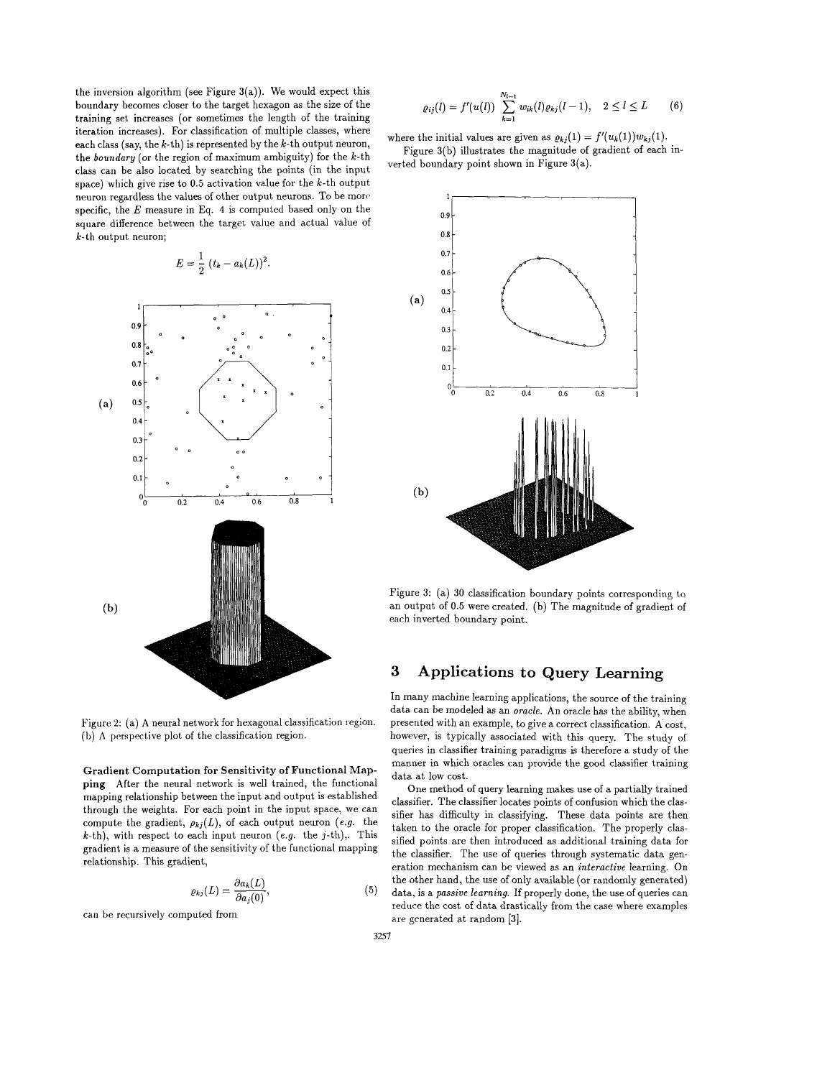the inversion algorithm (see Figure  $3(a)$ ). We would expect this boundary becomes closer to the target hexagon as the size of the training set increases (or sometimes the length of the training iteration increases). For classification of multiple classes, where each class (say, the  $k$ -th) is represented by the  $k$ -th output neuron, the boundary (or the region of maximum ambiguity) for the  $k$ -th class can be also located by searching the points (in the input space) which give rise to  $0.5$  activation value for the  $k$ -th output neuron regardless the values of other output neurons. To be marc specific, the E measure in Eq. **4** is computed based only on the square difference between the target value and actual value of k-th output neuron;

$$
E = \frac{1}{2} (t_k - a_k(L))^2.
$$



**Gradient Computation for Sensitivity of Functional Mapping** After the neural network is well trained, the functional mapping relationship between the input and output is established through the weights. For each point in the input space, we can compute the gradient,  $\rho_{kj}(L)$ , of each output neuron (e.g. the  $k$ -th), with respect to each input neuron (e.g. the j-th),. This gradient is a measure of the sensitivity of the functional mapping relationship. This gradient,

$$
\varrho_{kj}(L) = \frac{\partial a_k(L)}{\partial a_j(0)},
$$

can be recursively computed from

$$
\varrho_{ij}(l) = f'(u(l)) \sum_{k=1}^{N_{l-1}} w_{ik}(l) \varrho_{kj}(l-1), \quad 2 \le l \le L \tag{6}
$$

where the initial values are given as  $\rho_{ki}(1) = f'(u_k(1))w_{kj}(1)$ .

Figure 3(b) illustrates the magnitude of gradient of each inverted boundary point shown in Figure 3(a).



Figure 3: (a) 30 classification boundary points corresponding to an output of 0.5 were created. (b) The magnitude of gradient of each inverted boundary point.

#### 3 Applications to Query Learning

In many machine learning applications, the source of the training data can be modeled as an oracle. An oracle has the ability, when Figure 2: (a) A neural network for hexagonal classification region. presented with an example, to give a correct classification. A cost,<br>(b) A perspective plot of the classification region. however, is typically associated however, is typically associated with this query. The study of queries in classifier training paradigms is therefore a study of the manner in which oracles can provide the good classifier training data at low cost.

One method of query learning makes use of a partially trained classifier. The classifier locates points of confusion which the classifier has difficulty in classifying. These data points are then taken to the oracle for proper classification. The properly classified points are then introduced as additional training data for the classifier. The use of queries through systematic data generation mechanism can be viewed as an interactive learning. On the other hand, the use of only available (or randomly generated)  $(5)$  data, is a passive learning. If properly done, the use of queries can reduce the cost of data drastically from the case where examples are generated at random [3].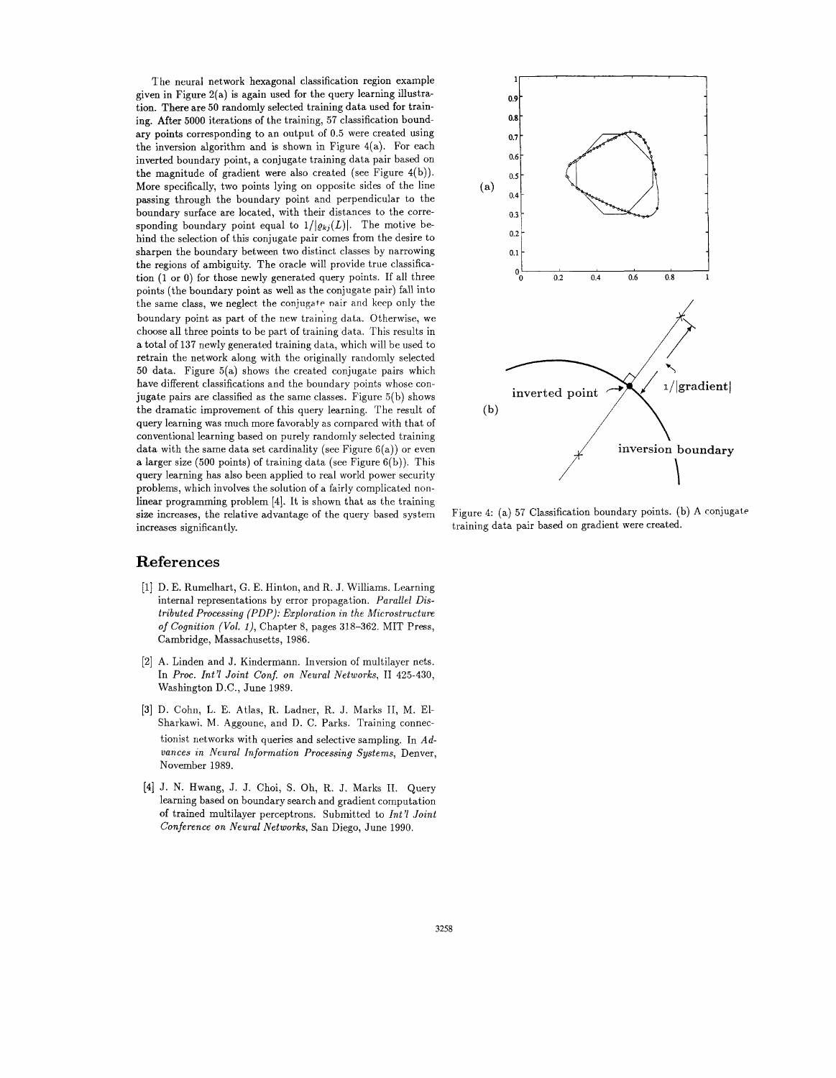The neural network hexagonal classification region example given in Figure 2(a) is again used for the query learning illustration. There are 50 randomly selected training data used for training. After 5000 iterations of the training, 57 classification boundary points corresponding to an output of 0.5 were created using the inversion algorithm and is shown in Figure  $4(a)$ . For each inverted boundary point, a conjugate training data pair based on the magnitude of gradient were also created (see Figure 4(b)). More specifically, two points lying on opposite sides of the line passing through the boundary point and perpendicular to the boundary surface are located, with their distances to the corresponding boundary point equal to  $1/|\varrho_{kj}(L)|$ . The motive behind the selection of this conjugate pair comes from the desire to sharpen the boundary between two distinct classes by narrowing the regions of ambiguity. The oracle will provide true classification (1 or 0) for those newly generated query points. If all three points (the boundary point as well as the conjugate pair) fall into the same class, we neglect the conjugate nair and keep only the boundary point as part of the new training data. Otherwise, we choose all three points to be part of training data. This results in a total of 137 newly generated training data, which will be used to retrain the network along with the originally randomly selected 50 data. Figure 5(a) shows the created conjugate pairs which have different classifications and the boundary points whose conjugate pairs are classified as the same classes. Figure 5(b) shows the dramatic improvement of this query learning. The result of query learning was much more favorably as compared with that of conventional learning based on purely randomly selected training data with the same data set cardinality (see Figure  $6(a)$ ) or even a larger size (500 points) of training data (see Figure 6(b)). This query learning has also been applied to real world power security problems, which involves the solution of a fairly complicated nonlinear programming problem [4]. It is shown that as the training size increases, the relative advantage of the query based system increases significantly.

### **References**

- [I] D. E. Rumelhart, G. E. Hinton, and R. J. Williams. Learning internal representations by error propagation. *Parallel Distributed Processing (PDP): Exploration in the Microstructure of Cognition (Vol. I),* Chapter 8, pages 318-362. MIT Press, Cambridge, Massachusetts, 1986.
- [2] A. Linden and J. Kindermann. Inversion of multilayer nets. In *Proc. Int71 Joint Conf. on Neural Networks,* I1 425-430, Washington D.C., June 1989.
- **[3]** D. Cohn, L. E. Atlas, R. Ladner, R. J. Marks 11, M. El-Sharkawi. M. Aggoune, and D. C. Parks. Training connectionist networks with queries and selective sampling. In *Advances in Areural Information Processing Systems,* Denver, November 1989.
- [4] J. N. Hwang, J. J. Choi, S. Oh, R. J. Marks 11. Query learning based on boundary search and gradient computation of trained multilayer perceptrons. Submitted to *Int'l Joint Conference on Neural Networks,* San Diego, June 1990.



Figure 4: (a) 57 Classification boundary points. (b) A conjugate training data pair based on gradient were created.